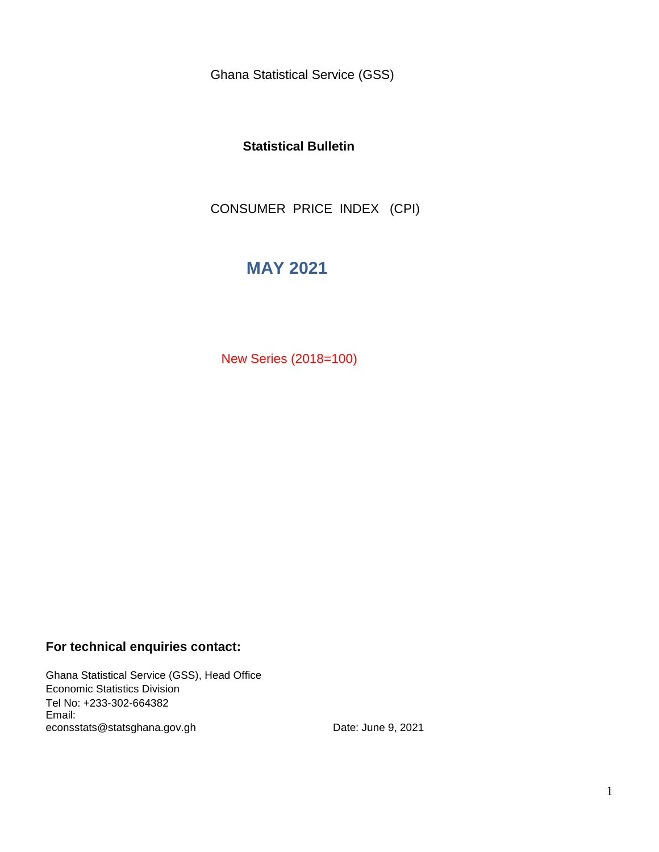Ghana Statistical Service (GSS)

### **Statistical Bulletin**

CONSUMER PRICE INDEX (CPI)

# **MAY 2021**

New Series (2018=100)

### **For technical enquiries contact:**

Ghana Statistical Service (GSS), Head Office Economic Statistics Division Tel No: +233-302-664382 Email: econsstats@statsghana.gov.gh

Date: June 9, 2021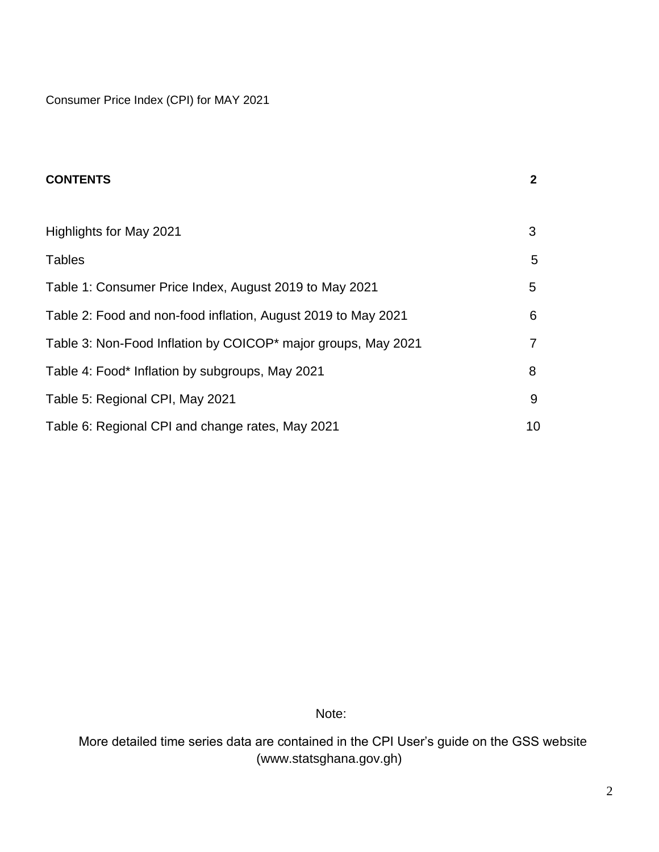Consumer Price Index (CPI) for MAY 2021

| <b>CONTENTS</b>                                               | $\mathbf{2}$ |
|---------------------------------------------------------------|--------------|
|                                                               |              |
| Highlights for May 2021                                       | 3            |
| <b>Tables</b>                                                 | 5            |
| Table 1: Consumer Price Index, August 2019 to May 2021        | 5            |
| Table 2: Food and non-food inflation, August 2019 to May 2021 | 6            |
| Table 3: Non-Food Inflation by COICOP* major groups, May 2021 | 7            |
| Table 4: Food* Inflation by subgroups, May 2021               | 8            |
| Table 5: Regional CPI, May 2021                               | 9            |
| Table 6: Regional CPI and change rates, May 2021              | 10           |

Note:

 More detailed time series data are contained in the CPI User's guide on the GSS website (www.statsghana.gov.gh)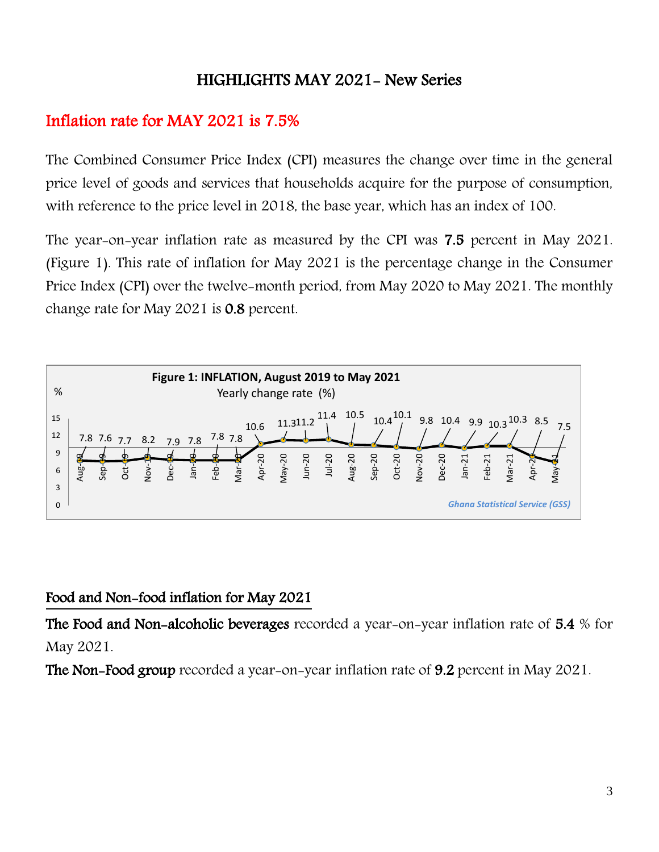# HIGHLIGHTS MAY 2021- New Series

# Inflation rate for MAY 2021 is 7.5%

The Combined Consumer Price Index (CPI) measures the change over time in the general price level of goods and services that households acquire for the purpose of consumption, with reference to the price level in 2018, the base year, which has an index of 100.

The year-on-year inflation rate as measured by the CPI was 7.5 percent in May 2021. (Figure 1). This rate of inflation for May 2021 is the percentage change in the Consumer Price Index (CPI) over the twelve-month period, from May 2020 to May 2021. The monthly change rate for May 2021 is 0.8 percent.



## Food and Non-food inflation for May 2021

The Food and Non-alcoholic beverages recorded a year-on-year inflation rate of 5.4 % for May 2021.

The Non-Food group recorded a year-on-year inflation rate of 9.2 percent in May 2021.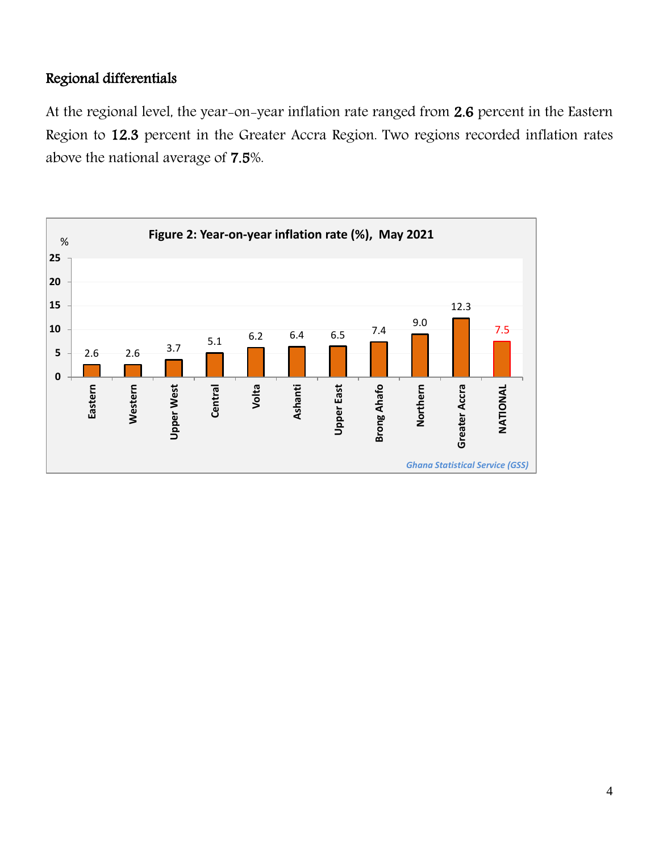## Regional differentials

At the regional level, the year-on-year inflation rate ranged from 2.6 percent in the Eastern Region to 12.3 percent in the Greater Accra Region. Two regions recorded inflation rates above the national average of 7.5%.

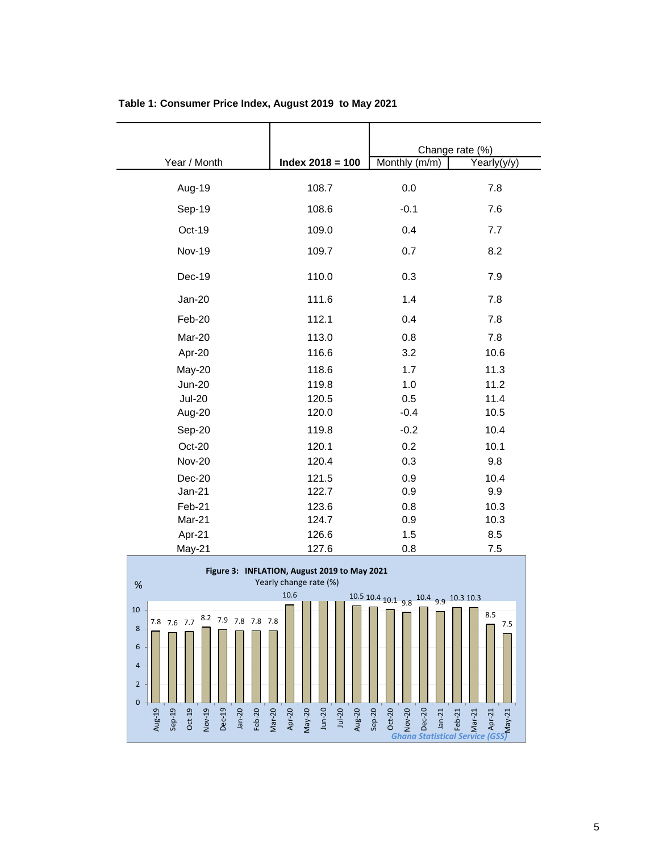|               |                    |               | Change rate (%) |
|---------------|--------------------|---------------|-----------------|
| Year / Month  | Index $2018 = 100$ | Monthly (m/m) | Yearly(y/y)     |
| Aug-19        | 108.7              | 0.0           | 7.8             |
| Sep-19        | 108.6              | $-0.1$        | 7.6             |
| Oct-19        | 109.0              | 0.4           | 7.7             |
| <b>Nov-19</b> | 109.7              | 0.7           | 8.2             |
| Dec-19        | 110.0              | 0.3           | 7.9             |
| Jan-20        | 111.6              | 1.4           | 7.8             |
| Feb-20        | 112.1              | 0.4           | 7.8             |
| Mar-20        | 113.0              | 0.8           | 7.8             |
| Apr-20        | 116.6              | 3.2           | 10.6            |
| May-20        | 118.6              | 1.7           | 11.3            |
| <b>Jun-20</b> | 119.8              | 1.0           | 11.2            |
| <b>Jul-20</b> | 120.5              | 0.5           | 11.4            |
| Aug-20        | 120.0              | $-0.4$        | 10.5            |
| Sep-20        | 119.8              | $-0.2$        | 10.4            |
| Oct-20        | 120.1              | 0.2           | 10.1            |
| <b>Nov-20</b> | 120.4              | 0.3           | 9.8             |
| Dec-20        | 121.5              | 0.9           | 10.4            |
| $Jan-21$      | 122.7              | 0.9           | 9.9             |
| Feb-21        | 123.6              | 0.8           | 10.3            |
| Mar-21        | 124.7              | 0.9           | 10.3            |
| Apr-21        | 126.6              | 1.5           | 8.5             |
| May-21        | 127.6              | 0.8           | 7.5             |

| Table 1: Consumer Price Index, August 2019 to May 2021 |  |  |  |
|--------------------------------------------------------|--|--|--|
|--------------------------------------------------------|--|--|--|

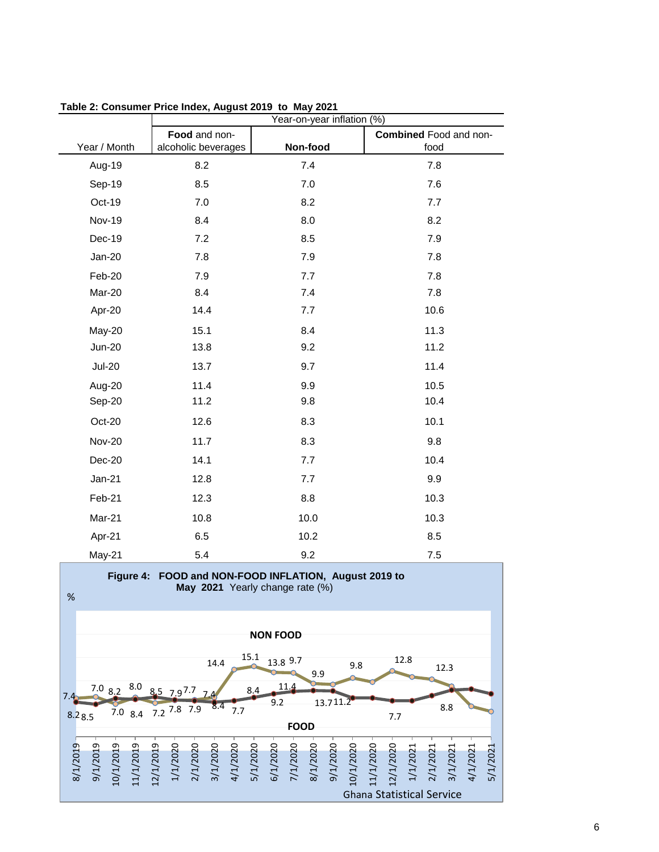| Year-on-year inflation (%)                  |                                                         |                                                                      |                                                                           |  |
|---------------------------------------------|---------------------------------------------------------|----------------------------------------------------------------------|---------------------------------------------------------------------------|--|
|                                             | Food and non-                                           |                                                                      | <b>Combined Food and non-</b>                                             |  |
| Year / Month                                | alcoholic beverages                                     | Non-food                                                             | food                                                                      |  |
| Aug-19                                      | 8.2                                                     | 7.4                                                                  | 7.8                                                                       |  |
| Sep-19                                      | 8.5                                                     | 7.0                                                                  | 7.6                                                                       |  |
| Oct-19                                      | 7.0                                                     | 8.2                                                                  | 7.7                                                                       |  |
| <b>Nov-19</b>                               | 8.4                                                     | 8.0                                                                  | 8.2                                                                       |  |
| Dec-19                                      | 7.2                                                     | 8.5                                                                  | 7.9                                                                       |  |
| $Jan-20$                                    | 7.8                                                     | 7.9                                                                  | 7.8                                                                       |  |
| Feb-20                                      | 7.9                                                     | 7.7                                                                  | 7.8                                                                       |  |
| Mar-20                                      | 8.4                                                     | 7.4                                                                  | 7.8                                                                       |  |
| Apr-20                                      | 14.4                                                    | 7.7                                                                  | 10.6                                                                      |  |
| May-20                                      | 15.1                                                    | 8.4                                                                  | 11.3                                                                      |  |
| <b>Jun-20</b>                               | 13.8                                                    | 9.2                                                                  | 11.2                                                                      |  |
| <b>Jul-20</b>                               | 13.7                                                    | 9.7                                                                  | 11.4                                                                      |  |
| Aug-20                                      | 11.4                                                    | 9.9                                                                  | 10.5                                                                      |  |
| Sep-20                                      | 11.2                                                    | 9.8                                                                  | 10.4                                                                      |  |
| Oct-20                                      | 12.6                                                    | 8.3                                                                  | 10.1                                                                      |  |
| <b>Nov-20</b>                               | 11.7                                                    | 8.3                                                                  | 9.8                                                                       |  |
| Dec-20                                      | 14.1                                                    | 7.7                                                                  | 10.4                                                                      |  |
| $Jan-21$                                    | 12.8                                                    | 7.7                                                                  | 9.9                                                                       |  |
| Feb-21                                      | 12.3                                                    | 8.8                                                                  | 10.3                                                                      |  |
| Mar-21                                      | 10.8                                                    | 10.0                                                                 | 10.3                                                                      |  |
| Apr-21                                      | 6.5                                                     | 10.2                                                                 | 8.5                                                                       |  |
| May-21                                      | 5.4                                                     | 9.2                                                                  | 7.5                                                                       |  |
|                                             |                                                         | Figure 4: FOOD and NON-FOOD INFLATION, August 2019 to                |                                                                           |  |
| $\%$                                        |                                                         | May 2021 Yearly change rate (%)                                      |                                                                           |  |
|                                             |                                                         |                                                                      |                                                                           |  |
| <b>NON FOOD</b>                             |                                                         |                                                                      |                                                                           |  |
|                                             | 15.1<br>14.4                                            | 13.8 9.7<br>9.8                                                      | 12.8<br>12.3                                                              |  |
| 7.08.2                                      | $8.0$ 8.5 7.97.7                                        | 9.9<br>11.4<br>8.4                                                   |                                                                           |  |
| 7.4                                         | 8.4<br>7.8 7.9                                          | 9.2<br>13.711.2                                                      | 8.8                                                                       |  |
| $7.0\,8.4$<br>8.28.5                        | 7.7<br>7.2                                              | <b>FOOD</b>                                                          | 7.7                                                                       |  |
|                                             |                                                         |                                                                      |                                                                           |  |
| 8/1/2019<br>9/1/2019<br>0/1/2019<br>(1/2019 | 2/1/2019<br>2/1/2020<br>3/1/2020<br>/1/2020<br>4/1/2020 | 7/1/2020<br>5/1/2020<br>8/1/2020<br>6/1/2020<br>9/1/2020<br>0/1/2020 | 1/2020<br>/2020<br>2/1/2021<br>5/1/2021<br>3/1/2021<br>1/1/202<br>4/1/202 |  |

Ghana Statistical Service

**Table 2: Consumer Price Index, August 2019 to May 2021**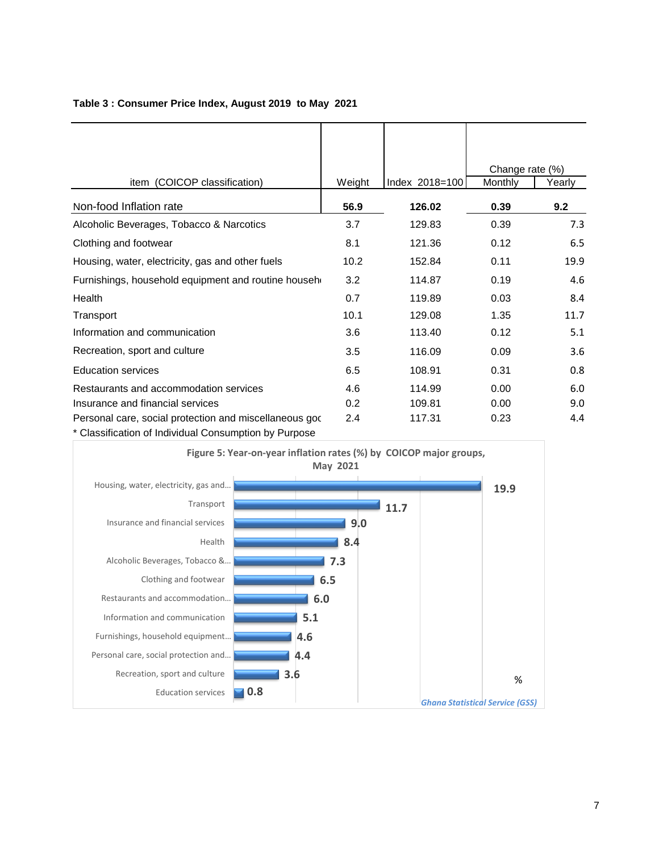|                                                        |        |                | Change rate (%) |        |
|--------------------------------------------------------|--------|----------------|-----------------|--------|
| item (COICOP classification)                           | Weight | Index 2018=100 | Monthly         | Yearly |
| Non-food Inflation rate                                | 56.9   | 126.02         | 0.39            | 9.2    |
| Alcoholic Beverages, Tobacco & Narcotics               | 3.7    | 129.83         | 0.39            | 7.3    |
| Clothing and footwear                                  | 8.1    | 121.36         | 0.12            | 6.5    |
| Housing, water, electricity, gas and other fuels       | 10.2   | 152.84         | 0.11            | 19.9   |
| Furnishings, household equipment and routine househ    | 3.2    | 114.87         | 0.19            | 4.6    |
| Health                                                 | 0.7    | 119.89         | 0.03            | 8.4    |
| Transport                                              | 10.1   | 129.08         | 1.35            | 11.7   |
| Information and communication                          | 3.6    | 113.40         | 0.12            | 5.1    |
| Recreation, sport and culture                          | 3.5    | 116.09         | 0.09            | 3.6    |
| <b>Education services</b>                              | 6.5    | 108.91         | 0.31            | 0.8    |
| Restaurants and accommodation services                 | 4.6    | 114.99         | 0.00            | 6.0    |
| Insurance and financial services                       | 0.2    | 109.81         | 0.00            | 9.0    |
| Personal care, social protection and miscellaneous god | 2.4    | 117.31         | 0.23            | 4.4    |
| * Classification of Individual Consumption by Purpose  |        |                |                 |        |

#### **Table 3 : Consumer Price Index, August 2019 to May 2021**

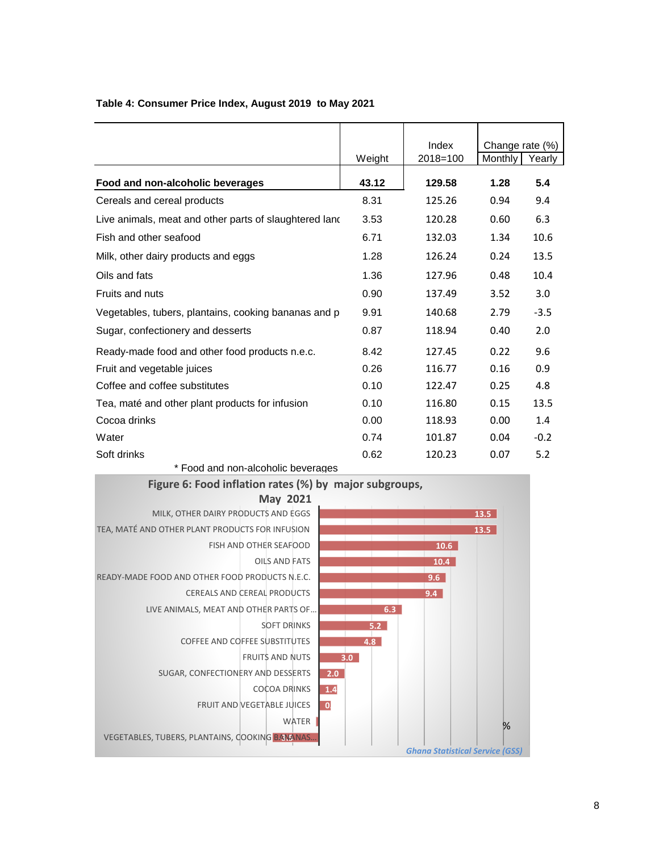|                                                        |        | Index        | Change rate (%) |        |
|--------------------------------------------------------|--------|--------------|-----------------|--------|
|                                                        | Weight | $2018 = 100$ | Monthly         | Yearly |
| Food and non-alcoholic beverages                       | 43.12  | 129.58       | 1.28            | 5.4    |
| Cereals and cereal products                            | 8.31   | 125.26       | 0.94            | 9.4    |
| Live animals, meat and other parts of slaughtered land | 3.53   | 120.28       | 0.60            | 6.3    |
| Fish and other seafood                                 | 6.71   | 132.03       | 1.34            | 10.6   |
| Milk, other dairy products and eggs                    | 1.28   | 126.24       | 0.24            | 13.5   |
| Oils and fats                                          | 1.36   | 127.96       | 0.48            | 10.4   |
| Fruits and nuts                                        | 0.90   | 137.49       | 3.52            | 3.0    |
| Vegetables, tubers, plantains, cooking bananas and p   | 9.91   | 140.68       | 2.79            | $-3.5$ |
| Sugar, confectionery and desserts                      | 0.87   | 118.94       | 0.40            | 2.0    |
| Ready-made food and other food products n.e.c.         | 8.42   | 127.45       | 0.22            | 9.6    |
| Fruit and vegetable juices                             | 0.26   | 116.77       | 0.16            | 0.9    |
| Coffee and coffee substitutes                          | 0.10   | 122.47       | 0.25            | 4.8    |
| Tea, maté and other plant products for infusion        | 0.10   | 116.80       | 0.15            | 13.5   |
| Cocoa drinks                                           | 0.00   | 118.93       | 0.00            | 1.4    |
| Water                                                  | 0.74   | 101.87       | 0.04            | $-0.2$ |
| Soft drinks                                            | 0.62   | 120.23       | 0.07            | 5.2    |

### **Table 4: Consumer Price Index, August 2019 to May 2021**

\* Food and non-alcoholic beverages

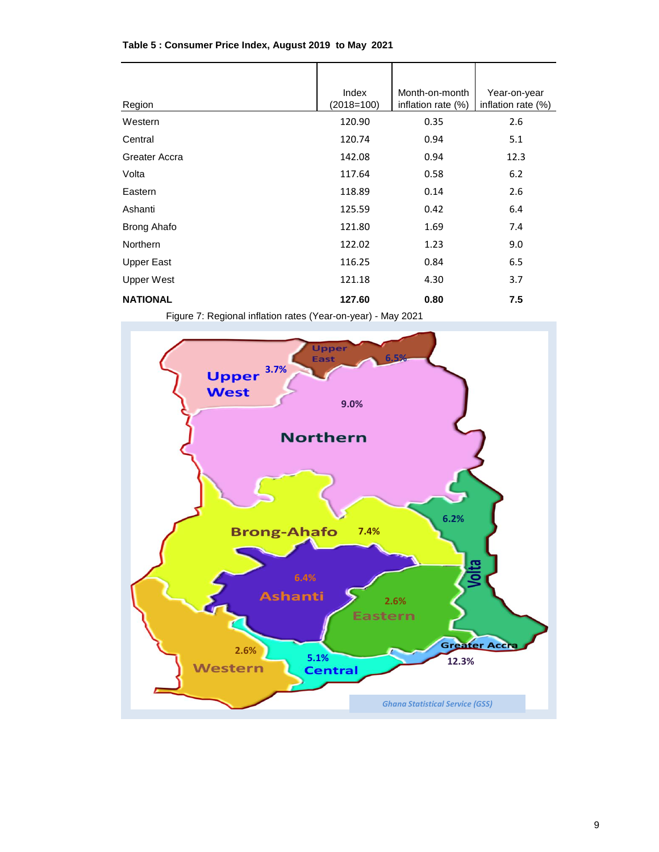| Region             | Index<br>$(2018=100)$ | Month-on-month<br>inflation rate (%) | Year-on-year<br>inflation rate $(\%)$ |
|--------------------|-----------------------|--------------------------------------|---------------------------------------|
| Western            | 120.90                | 0.35                                 | 2.6                                   |
| Central            | 120.74                | 0.94                                 | 5.1                                   |
| Greater Accra      | 142.08                | 0.94                                 | 12.3                                  |
| Volta              | 117.64                | 0.58                                 | 6.2                                   |
| Eastern            | 118.89                | 0.14                                 | 2.6                                   |
| Ashanti            | 125.59                | 0.42                                 | 6.4                                   |
| <b>Brong Ahafo</b> | 121.80                | 1.69                                 | 7.4                                   |
| <b>Northern</b>    | 122.02                | 1.23                                 | 9.0                                   |
| <b>Upper East</b>  | 116.25                | 0.84                                 | 6.5                                   |
| <b>Upper West</b>  | 121.18                | 4.30                                 | 3.7                                   |
| <b>NATIONAL</b>    | 127.60                | 0.80                                 | 7.5                                   |

#### **Table 5 : Consumer Price Index, August 2019 to May 2021**

Figure 7: Regional inflation rates (Year-on-year) - May 2021